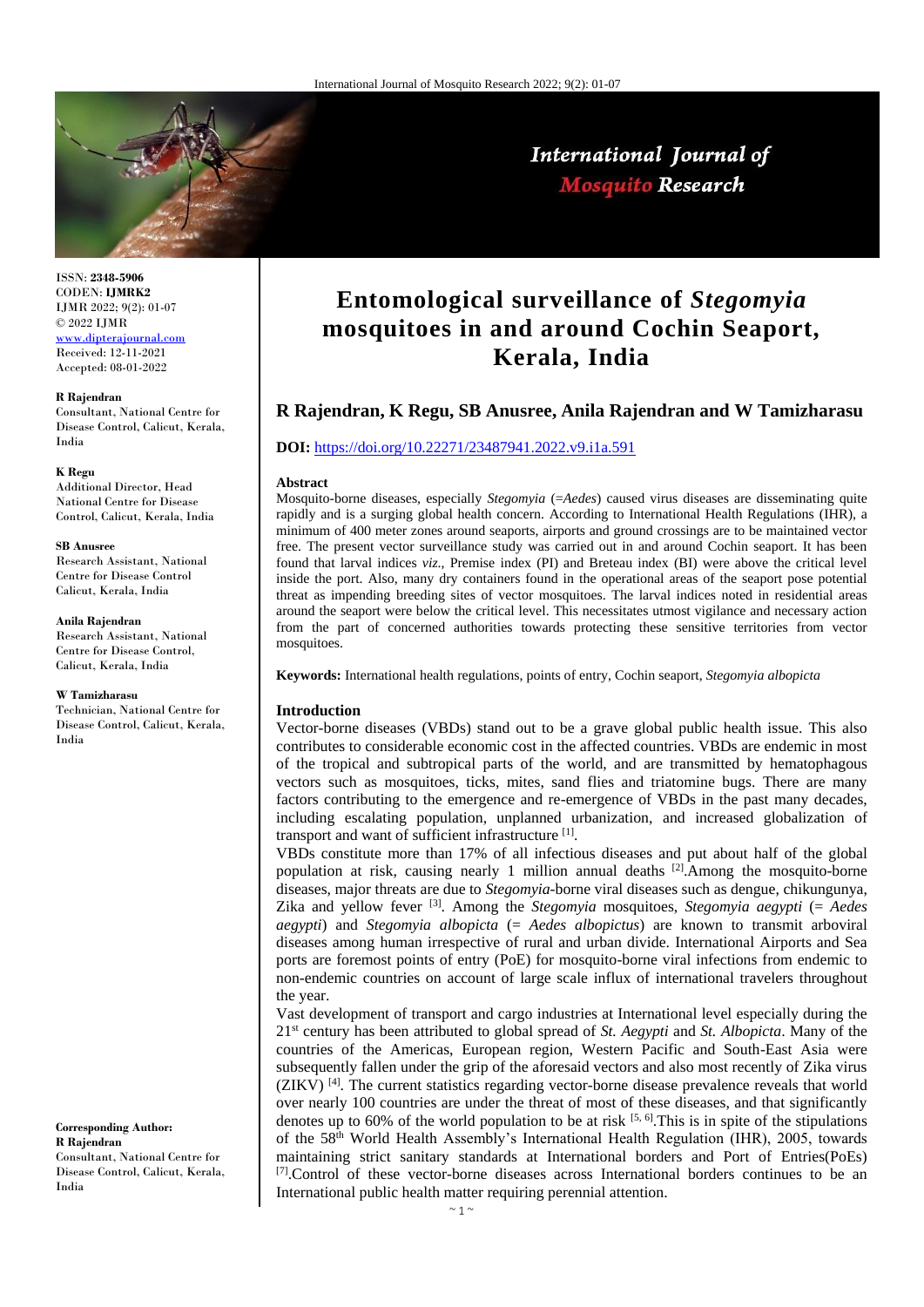

# International Journal of **Mosquito Research**

ISSN: **2348-5906** CODEN: **IJMRK2** IJMR 2022; 9(2): 01-07 © 2022 IJMR [www.dipterajournal.com](file://server/d/Mosquito/Issue/8%20Volume/www.dipterajournal.com)

Received: 12-11-2021 Accepted: 08-01-2022

#### **R Rajendran**

Consultant, National Centre for Disease Control, Calicut, Kerala, India

#### **K Regu**

Additional Director, Head National Centre for Disease Control, Calicut, Kerala, India

#### **SB Anusree**

Research Assistant, National Centre for Disease Control Calicut, Kerala, India

#### **Anila Rajendran**

Research Assistant, National Centre for Disease Control, Calicut, Kerala, India

#### **W Tamizharasu**

Technician, National Centre for Disease Control, Calicut, Kerala, India

**Corresponding Author: R Rajendran** Consultant, National Centre for

Disease Control, Calicut, Kerala, India

# **Entomological surveillance of** *Stegomyia* **mosquitoes in and around Cochin Seaport, Kerala, India**

# **R Rajendran, K Regu, SB Anusree, Anila Rajendran and W Tamizharasu**

### **DOI:** <https://doi.org/10.22271/23487941.2022.v9.i1a.591>

#### **Abstract**

Mosquito-borne diseases, especially *Stegomyia* (=*Aedes*) caused virus diseases are disseminating quite rapidly and is a surging global health concern. According to International Health Regulations (IHR), a minimum of 400 meter zones around seaports, airports and ground crossings are to be maintained vector free. The present vector surveillance study was carried out in and around Cochin seaport. It has been found that larval indices *viz*., Premise index (PI) and Breteau index (BI) were above the critical level inside the port. Also, many dry containers found in the operational areas of the seaport pose potential threat as impending breeding sites of vector mosquitoes. The larval indices noted in residential areas around the seaport were below the critical level. This necessitates utmost vigilance and necessary action from the part of concerned authorities towards protecting these sensitive territories from vector mosquitoes.

**Keywords:** International health regulations, points of entry, Cochin seaport, *Stegomyia albopicta*

### **Introduction**

Vector-borne diseases (VBDs) stand out to be a grave global public health issue. This also contributes to considerable economic cost in the affected countries. VBDs are endemic in most of the tropical and subtropical parts of the world, and are transmitted by hematophagous vectors such as mosquitoes, ticks, mites, sand flies and triatomine bugs. There are many factors contributing to the emergence and re-emergence of VBDs in the past many decades, including escalating population, unplanned urbanization, and increased globalization of transport and want of sufficient infrastructure<sup>[1]</sup>.

VBDs constitute more than 17% of all infectious diseases and put about half of the global population at risk, causing nearly 1 million annual deaths  $[2]$ . Among the mosquito-borne diseases, major threats are due to *Stegomyia*-borne viral diseases such as dengue, chikungunya, Zika and yellow fever [3] . Among the *Stegomyia* mosquitoes, *Stegomyia aegypti* (= *Aedes aegypti*) and *Stegomyia albopicta* (= *Aedes albopictus*) are known to transmit arboviral diseases among human irrespective of rural and urban divide. International Airports and Sea ports are foremost points of entry (PoE) for mosquito-borne viral infections from endemic to non-endemic countries on account of large scale influx of international travelers throughout the year.

Vast development of transport and cargo industries at International level especially during the 21st century has been attributed to global spread of *St. Aegypti* and *St. Albopicta*. Many of the countries of the Americas, European region, Western Pacific and South-East Asia were subsequently fallen under the grip of the aforesaid vectors and also most recently of Zika virus  $(ZIKV)^{[4]}$ . The current statistics regarding vector-borne disease prevalence reveals that world over nearly 100 countries are under the threat of most of these diseases, and that significantly denotes up to 60% of the world population to be at risk  $[5, 6]$ . This is in spite of the stipulations of the 58th World Health Assembly's International Health Regulation (IHR), 2005, towards maintaining strict sanitary standards at International borders and Port of Entries(PoEs) [7].Control of these vector-borne diseases across International borders continues to be an International public health matter requiring perennial attention.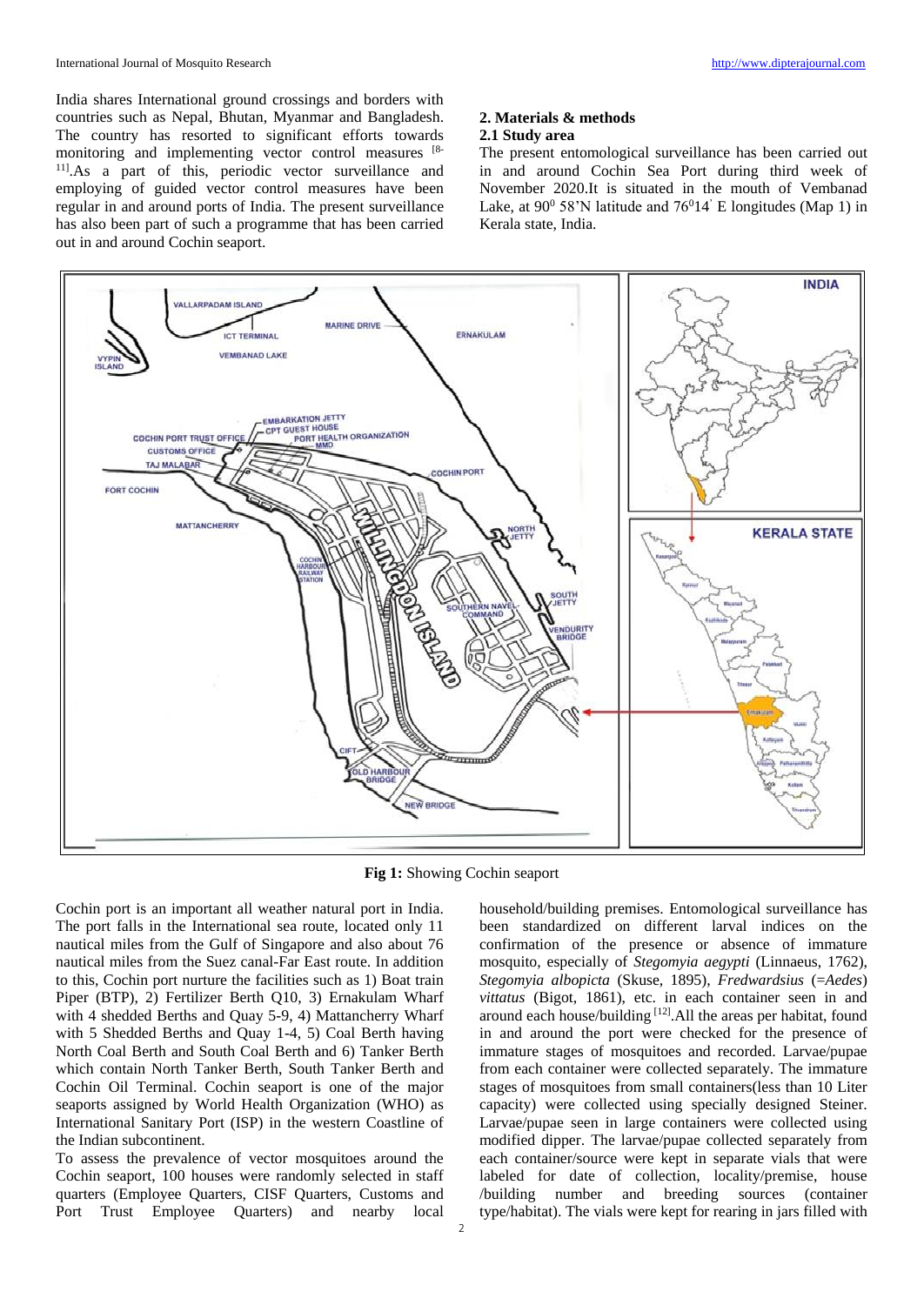India shares International ground crossings and borders with countries such as Nepal, Bhutan, Myanmar and Bangladesh. The country has resorted to significant efforts towards monitoring and implementing vector control measures [8- 11].As a part of this, periodic vector surveillance and employing of guided vector control measures have been regular in and around ports of India. The present surveillance has also been part of such a programme that has been carried out in and around Cochin seaport.

## **2. Materials & methods 2.1 Study area**

The present entomological surveillance has been carried out in and around Cochin Sea Port during third week of November 2020.It is situated in the mouth of Vembanad Lake, at  $90^0$  58'N latitude and  $76^014'$  E longitudes (Map 1) in Kerala state, India.



**Fig 1:** Showing Cochin seaport

Cochin port is an important all weather natural port in India. The port falls in the International sea route, located only 11 nautical miles from the Gulf of Singapore and also about 76 nautical miles from the Suez canal-Far East route. In addition to this, Cochin port nurture the facilities such as 1) Boat train Piper (BTP), 2) Fertilizer Berth Q10, 3) Ernakulam Wharf with 4 shedded Berths and Quay 5-9, 4) Mattancherry Wharf with 5 Shedded Berths and Quay 1-4, 5) Coal Berth having North Coal Berth and South Coal Berth and 6) Tanker Berth which contain North Tanker Berth, South Tanker Berth and Cochin Oil Terminal. Cochin seaport is one of the major seaports assigned by World Health Organization (WHO) as International Sanitary Port (ISP) in the western Coastline of the Indian subcontinent.

To assess the prevalence of vector mosquitoes around the Cochin seaport, 100 houses were randomly selected in staff quarters (Employee Quarters, CISF Quarters, Customs and Port Trust Employee Quarters) and nearby local

household/building premises. Entomological surveillance has been standardized on different larval indices on the confirmation of the presence or absence of immature mosquito, especially of *Stegomyia aegypti* (Linnaeus, 1762), *Stegomyia albopicta* (Skuse, 1895), *Fredwardsius* (=*Aedes*) vittatus (Bigot, 1861), etc. in each container seen in and around each house/building [12].All the areas per habitat, found in and around the port were checked for the presence of immature stages of mosquitoes and recorded. Larvae/pupae from each container were collected separately. The immature stages of mosquitoes from small containers(less than 10 Liter capacity) were collected using specially designed Steiner. Larvae/pupae seen in large containers were collected using modified dipper. The larvae/pupae collected separately from each container/source were kept in separate vials that were labeled for date of collection, locality/premise, house /building number and breeding sources (container type/habitat). The vials were kept for rearing in jars filled with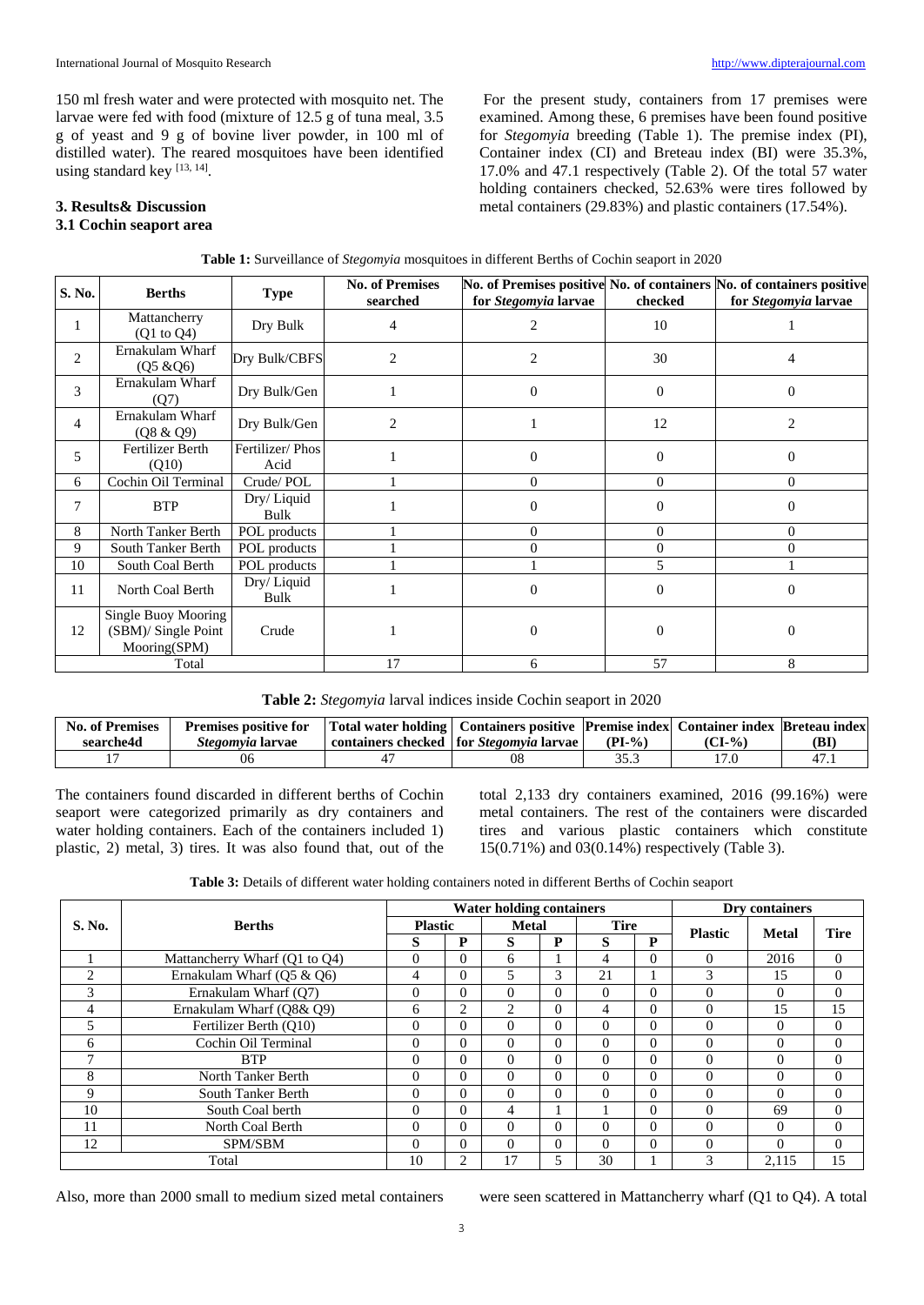150 ml fresh water and were protected with mosquito net. The larvae were fed with food (mixture of 12.5 g of tuna meal, 3.5 g of yeast and 9 g of bovine liver powder, in 100 ml of distilled water). The reared mosquitoes have been identified using standard key [13, 14].

For the present study, containers from 17 premises were examined. Among these, 6 premises have been found positive for *Stegomyia* breeding (Table 1). The premise index (PI), Container index (CI) and Breteau index (BI) were 35.3%, 17.0% and 47.1 respectively (Table 2). Of the total 57 water holding containers checked, 52.63% were tires followed by metal containers (29.83%) and plastic containers (17.54%).

# **3. Results& Discussion**

# **3.1 Cochin seaport area**

| S. No.         | <b>Berths</b>                                              | <b>Type</b>             | <b>No. of Premises</b><br>searched | for Stegomyia larvae | checked  | No. of Premises positive No. of containers No. of containers positive<br>for Stegomyia larvae |
|----------------|------------------------------------------------------------|-------------------------|------------------------------------|----------------------|----------|-----------------------------------------------------------------------------------------------|
|                | Mattancherry<br>(Q1 to Q4)                                 | Dry Bulk                | 4                                  | 2                    | 10       |                                                                                               |
| $\overline{2}$ | Ernakulam Wharf<br>$(Q5 \& Q6)$                            | Dry Bulk/CBFS           | $\overline{c}$                     | 2                    | 30       | 4                                                                                             |
| 3              | Ernakulam Wharf<br>(Q7)                                    | Dry Bulk/Gen            |                                    | $\Omega$             | $\Omega$ | $\Omega$                                                                                      |
| $\overline{4}$ | Ernakulam Wharf<br>(Q8 & Q9)                               | Dry Bulk/Gen            | $\overline{c}$                     |                      | 12       | 2                                                                                             |
| 5              | Fertilizer Berth<br>(Q10)                                  | Fertilizer/Phos<br>Acid |                                    | $\Omega$             | $\Omega$ | $\Omega$                                                                                      |
| 6              | Cochin Oil Terminal                                        | Crude/POL               |                                    | $\Omega$             | $\Omega$ | $\Omega$                                                                                      |
| 7              | <b>BTP</b>                                                 | Dry/Liquid<br>Bulk      |                                    | $\theta$             | $\Omega$ | $\Omega$                                                                                      |
| 8              | North Tanker Berth                                         | POL products            |                                    | $\Omega$             | $\Omega$ | $\Omega$                                                                                      |
| 9              | South Tanker Berth                                         | POL products            |                                    |                      | $\theta$ | 0                                                                                             |
| 10             | South Coal Berth                                           | POL products            |                                    |                      | 5        |                                                                                               |
| 11             | North Coal Berth                                           | Dry/Liquid<br>Bulk      |                                    | $\Omega$             | $\Omega$ | $\Omega$                                                                                      |
| 12             | Single Buoy Mooring<br>(SBM)/ Single Point<br>Mooring(SPM) | Crude                   |                                    | $\Omega$             | $\Omega$ | $\Omega$                                                                                      |
| Total          |                                                            |                         | 17                                 | 6                    | 57       | 8                                                                                             |

|  |  |  | Table 1: Surveillance of Stegomyia mosquitoes in different Berths of Cochin seaport in 2020 |  |  |
|--|--|--|---------------------------------------------------------------------------------------------|--|--|
|  |  |  |                                                                                             |  |  |

| Table 2: Stegomyia larval indices inside Cochin seaport in 2020 |
|-----------------------------------------------------------------|
|-----------------------------------------------------------------|

| <b>No. of Premises</b> | <b>Premises positive for</b> | Total water holding   Containers positive   Premise index   Container index   Breteau index |          |        |     |
|------------------------|------------------------------|---------------------------------------------------------------------------------------------|----------|--------|-----|
| searche4d              | <i>Stegomyia</i> larvae      | containers checked for <i>Stegomyia</i> larvae                                              | $(PI-0)$ | (CI-%) | (BI |
|                        |                              | 08                                                                                          | 35.3     |        | 47. |

The containers found discarded in different berths of Cochin seaport were categorized primarily as dry containers and water holding containers. Each of the containers included 1) plastic, 2) metal, 3) tires. It was also found that, out of the

total 2,133 dry containers examined, 2016 (99.16%) were metal containers. The rest of the containers were discarded tires and various plastic containers which constitute 15(0.71%) and 03(0.14%) respectively (Table 3).

**Table 3:** Details of different water holding containers noted in different Berths of Cochin seaport

|           |                               |                |                | <b>Water holding containers</b> |                |             |          |                | Dry containers |             |
|-----------|-------------------------------|----------------|----------------|---------------------------------|----------------|-------------|----------|----------------|----------------|-------------|
| S. No.    | <b>Berths</b>                 | <b>Plastic</b> |                | <b>Metal</b>                    |                | <b>Tire</b> |          | <b>Plastic</b> |                | <b>Tire</b> |
|           |                               | S              | P              | S                               | P              | S           | P        |                | <b>Metal</b>   |             |
|           | Mattancherry Wharf (Q1 to Q4) | $\Omega$       | 0              | 6                               |                | 4           | $\Omega$ | $\Omega$       | 2016           | $\Omega$    |
| $\bigcap$ | Ernakulam Wharf $(05 \& 06)$  | 4              | $\Omega$       | 5                               | 3              | 21          |          | 3              | 15             | $\Omega$    |
| 3         | Ernakulam Wharf (O7)          | $\Omega$       | $\Omega$       | $\Omega$                        | $\Omega$       | $\Omega$    | $\Omega$ | $\Omega$       | $\Omega$       | $\Omega$    |
| 4         | Ernakulam Wharf (O8& O9)      | 6              | $\overline{c}$ | 2                               | $\Omega$       | 4           | $\Omega$ | $\Omega$       | 15             | 15          |
| 5         | Fertilizer Berth (O10)        | $\theta$       | $\Omega$       | $\Omega$                        | $\theta$       | $\Omega$    | $\Omega$ | $\Omega$       | $\theta$       | $\Omega$    |
| 6         | Cochin Oil Terminal           | $\Omega$       | $\Omega$       | $\Omega$                        | $\theta$       | $\Omega$    | $\Omega$ | $\Omega$       | 0              | $\Omega$    |
|           | <b>BTP</b>                    | $\Omega$       | $\Omega$       | $\Omega$                        | $\Omega$       | $\Omega$    | $\Omega$ | $\Omega$       | 0              | $\Omega$    |
| 8         | North Tanker Berth            | $\Omega$       | $\Omega$       | $\Omega$                        | $\Omega$       | $\Omega$    | $\Omega$ | $\Omega$       | $\Omega$       | $\Omega$    |
| 9         | South Tanker Berth            | $\Omega$       | $\Omega$       | $\Omega$                        | $\theta$       | $\Omega$    | $\Omega$ | $\Omega$       | 0              | $\Omega$    |
| 10        | South Coal berth              | $\Omega$       | $\Omega$       | 4                               |                |             | $\Omega$ | $\Omega$       | 69             | $\Omega$    |
| 11        | North Coal Berth              | $\Omega$       | $\Omega$       | $\Omega$                        | $\theta$       | $\Omega$    | $\Omega$ | $\Omega$       | $\Omega$       | $\Omega$    |
| 12        | SPM/SBM                       |                | $\Omega$       | $\Omega$                        | $\Omega$       | $\Omega$    | $\Omega$ | $\theta$       | $\Omega$       | $\Omega$    |
|           | Total                         |                | $\overline{c}$ | 17                              | $\overline{5}$ | 30          |          | $\mathcal{R}$  | 2.115          | 15          |

Also, more than 2000 small to medium sized metal containers were seen scattered in Mattancherry wharf (Q1 to Q4). A total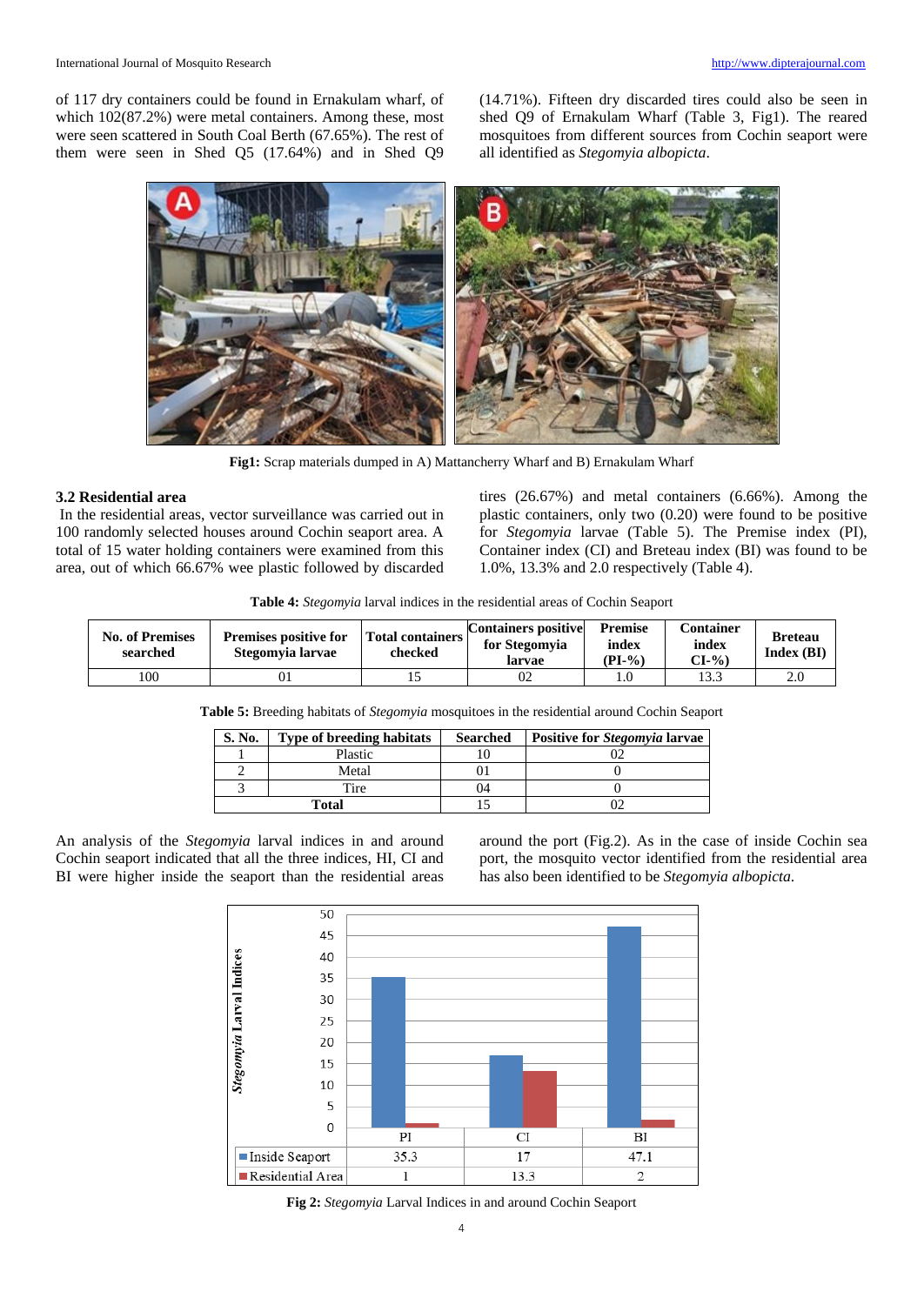of 117 dry containers could be found in Ernakulam wharf, of which 102(87.2%) were metal containers. Among these, most were seen scattered in South Coal Berth (67.65%). The rest of them were seen in Shed Q5 (17.64%) and in Shed Q9 (14.71%). Fifteen dry discarded tires could also be seen in shed Q9 of Ernakulam Wharf (Table 3, Fig1). The reared mosquitoes from different sources from Cochin seaport were all identified as *Stegomyia albopicta*.



**Fig1:** Scrap materials dumped in A) Mattancherry Wharf and B) Ernakulam Wharf

## **3.2 Residential area**

In the residential areas, vector surveillance was carried out in 100 randomly selected houses around Cochin seaport area. A total of 15 water holding containers were examined from this area, out of which 66.67% wee plastic followed by discarded tires (26.67%) and metal containers (6.66%). Among the plastic containers, only two (0.20) were found to be positive for *Stegomyia* larvae (Table 5). The Premise index (PI), Container index (CI) and Breteau index (BI) was found to be 1.0%, 13.3% and 2.0 respectively (Table 4).

**Table 4:** *Stegomyia* larval indices in the residential areas of Cochin Seaport

| <b>No. of Premises</b><br>searched | <b>Premises positive for</b><br>Stegomvia larvae | Total containers  <br>checked | <b>Containers positive</b><br>for Stegomvia<br>larvae | <b>Premise</b><br>index<br>$(PI-%)$ | <b>Container</b><br>index<br>$CI-9$ | <b>Breteau</b><br>Index(BI) |
|------------------------------------|--------------------------------------------------|-------------------------------|-------------------------------------------------------|-------------------------------------|-------------------------------------|-----------------------------|
| 100                                | UΙ                                               |                               |                                                       |                                     | 13.3                                | 2.0                         |

**Table 5:** Breeding habitats of *Stegomyia* mosquitoes in the residential around Cochin Seaport

| S. No. | <b>Type of breeding habitats</b> | <b>Searched</b> | Positive for Stegomyia larvae |
|--------|----------------------------------|-----------------|-------------------------------|
|        | Plastic                          |                 |                               |
|        | Metal                            |                 |                               |
|        | Tire                             | 04              |                               |
|        | Total                            |                 |                               |

An analysis of the *Stegomyia* larval indices in and around Cochin seaport indicated that all the three indices, HI, CI and BI were higher inside the seaport than the residential areas around the port (Fig.2). As in the case of inside Cochin sea port, the mosquito vector identified from the residential area has also been identified to be *Stegomyia albopicta*.



**Fig 2:** *Stegomyia* Larval Indices in and around Cochin Seaport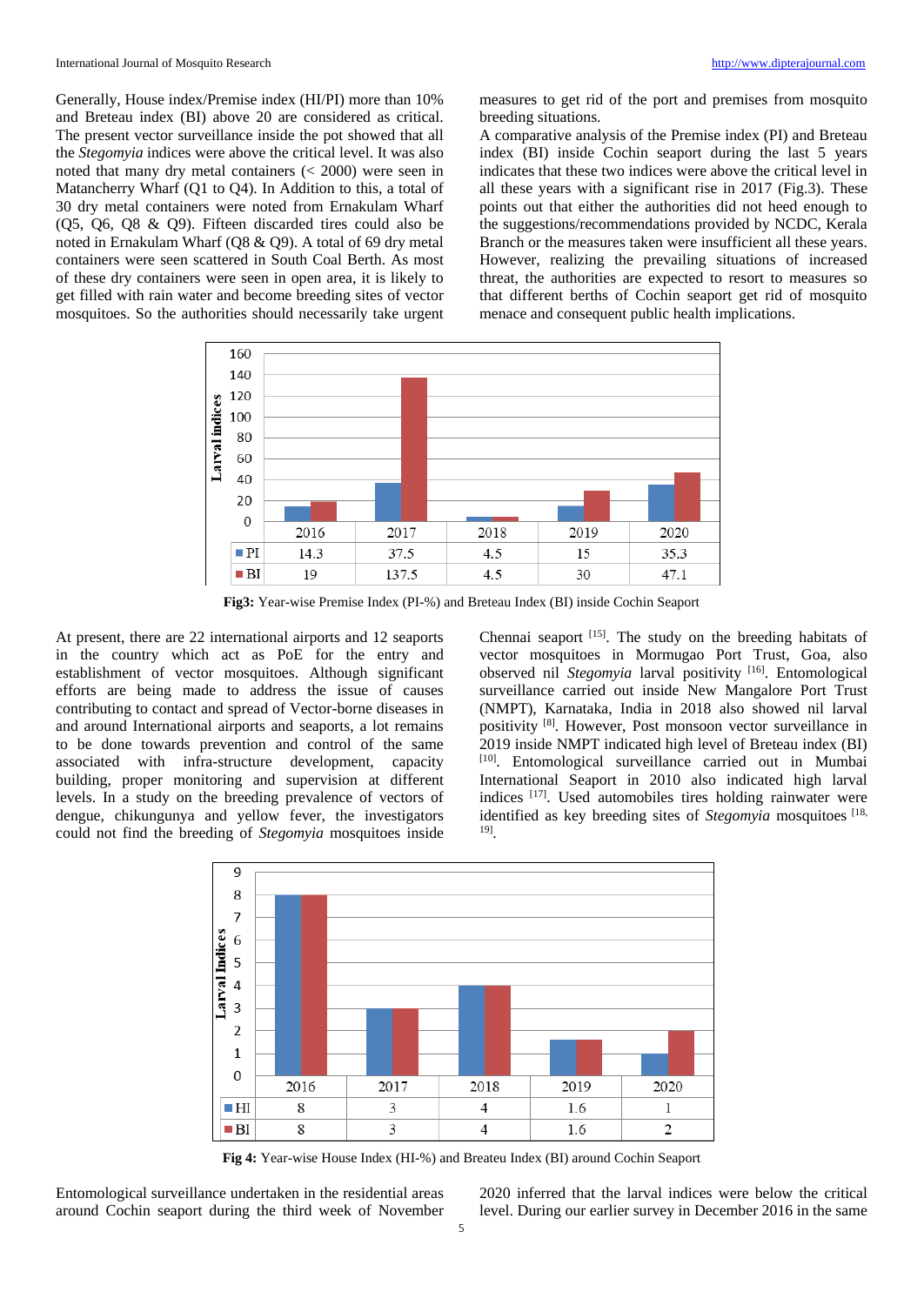Generally, House index/Premise index (HI/PI) more than 10% and Breteau index (BI) above 20 are considered as critical. The present vector surveillance inside the pot showed that all the *Stegomyia* indices were above the critical level. It was also noted that many dry metal containers (< 2000) were seen in Matancherry Wharf (Q1 to Q4). In Addition to this, a total of 30 dry metal containers were noted from Ernakulam Wharf (Q5, Q6, Q8 & Q9). Fifteen discarded tires could also be noted in Ernakulam Wharf (Q8 & Q9). A total of 69 dry metal containers were seen scattered in South Coal Berth. As most of these dry containers were seen in open area, it is likely to get filled with rain water and become breeding sites of vector mosquitoes. So the authorities should necessarily take urgent measures to get rid of the port and premises from mosquito breeding situations.

A comparative analysis of the Premise index (PI) and Breteau index (BI) inside Cochin seaport during the last 5 years indicates that these two indices were above the critical level in all these years with a significant rise in 2017 (Fig.3). These points out that either the authorities did not heed enough to the suggestions/recommendations provided by NCDC, Kerala Branch or the measures taken were insufficient all these years. However, realizing the prevailing situations of increased threat, the authorities are expected to resort to measures so that different berths of Cochin seaport get rid of mosquito menace and consequent public health implications.



**Fig3:** Year-wise Premise Index (PI-%) and Breteau Index (BI) inside Cochin Seaport

At present, there are 22 international airports and 12 seaports in the country which act as PoE for the entry and establishment of vector mosquitoes. Although significant efforts are being made to address the issue of causes contributing to contact and spread of Vector-borne diseases in and around International airports and seaports, a lot remains to be done towards prevention and control of the same associated with infra-structure development, capacity building, proper monitoring and supervision at different levels. In a study on the breeding prevalence of vectors of dengue, chikungunya and yellow fever, the investigators could not find the breeding of *Stegomyia* mosquitoes inside

Chennai seaport [15]. The study on the breeding habitats of vector mosquitoes in Mormugao Port Trust, Goa, also observed nil *Stegomyia* larval positivity [16]. Entomological surveillance carried out inside New Mangalore Port Trust (NMPT), Karnataka, India in 2018 also showed nil larval positivity [8]. However, Post monsoon vector surveillance in 2019 inside NMPT indicated high level of Breteau index (BI) [10]. Entomological surveillance carried out in Mumbai International Seaport in 2010 also indicated high larval indices [17]. Used automobiles tires holding rainwater were identified as key breeding sites of *Stegomyia* mosquitoes [18, 19] .



**Fig 4:** Year-wise House Index (HI-%) and Breateu Index (BI) around Cochin Seaport

Entomological surveillance undertaken in the residential areas around Cochin seaport during the third week of November 2020 inferred that the larval indices were below the critical level. During our earlier survey in December 2016 in the same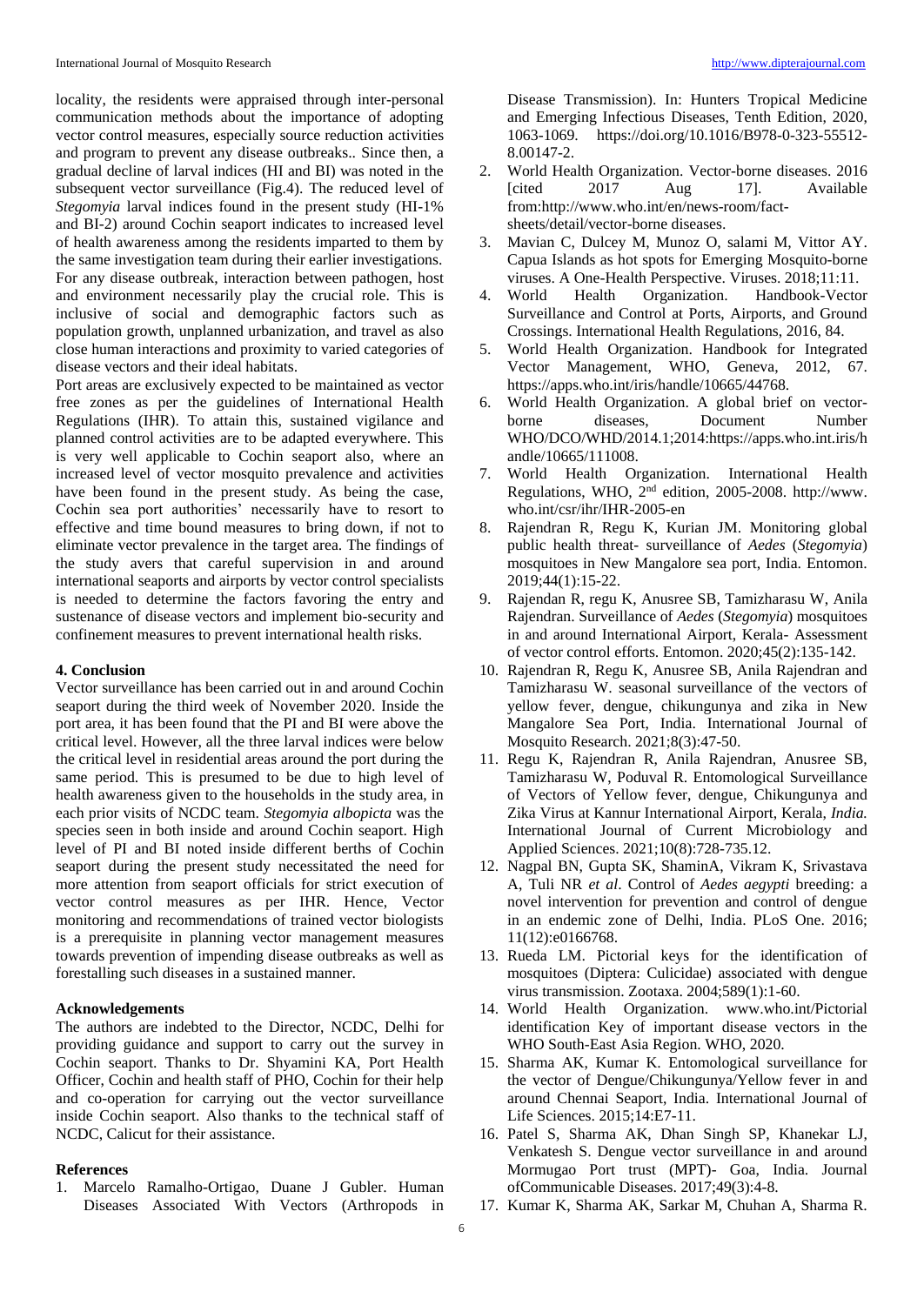locality, the residents were appraised through inter-personal communication methods about the importance of adopting vector control measures, especially source reduction activities and program to prevent any disease outbreaks.. Since then, a gradual decline of larval indices (HI and BI) was noted in the subsequent vector surveillance (Fig.4). The reduced level of *Stegomyia* larval indices found in the present study (HI-1% and BI-2) around Cochin seaport indicates to increased level of health awareness among the residents imparted to them by the same investigation team during their earlier investigations. For any disease outbreak, interaction between pathogen, host and environment necessarily play the crucial role. This is inclusive of social and demographic factors such as population growth, unplanned urbanization, and travel as also close human interactions and proximity to varied categories of disease vectors and their ideal habitats.

Port areas are exclusively expected to be maintained as vector free zones as per the guidelines of International Health Regulations (IHR). To attain this, sustained vigilance and planned control activities are to be adapted everywhere. This is very well applicable to Cochin seaport also, where an increased level of vector mosquito prevalence and activities have been found in the present study. As being the case, Cochin sea port authorities' necessarily have to resort to effective and time bound measures to bring down, if not to eliminate vector prevalence in the target area. The findings of the study avers that careful supervision in and around international seaports and airports by vector control specialists is needed to determine the factors favoring the entry and sustenance of disease vectors and implement bio-security and confinement measures to prevent international health risks.

## **4. Conclusion**

Vector surveillance has been carried out in and around Cochin seaport during the third week of November 2020. Inside the port area, it has been found that the PI and BI were above the critical level. However, all the three larval indices were below the critical level in residential areas around the port during the same period. This is presumed to be due to high level of health awareness given to the households in the study area, in each prior visits of NCDC team. *Stegomyia albopicta* was the species seen in both inside and around Cochin seaport. High level of PI and BI noted inside different berths of Cochin seaport during the present study necessitated the need for more attention from seaport officials for strict execution of vector control measures as per IHR. Hence, Vector monitoring and recommendations of trained vector biologists is a prerequisite in planning vector management measures towards prevention of impending disease outbreaks as well as forestalling such diseases in a sustained manner.

## **Acknowledgements**

The authors are indebted to the Director, NCDC, Delhi for providing guidance and support to carry out the survey in Cochin seaport. Thanks to Dr. Shyamini KA, Port Health Officer, Cochin and health staff of PHO, Cochin for their help and co-operation for carrying out the vector surveillance inside Cochin seaport. Also thanks to the technical staff of NCDC, Calicut for their assistance.

## **References**

1. Marcelo Ramalho-Ortigao, Duane J Gubler. Human Diseases Associated With Vectors (Arthropods in

Disease Transmission). In: Hunters Tropical Medicine and Emerging Infectious Diseases, Tenth Edition, 2020, 1063-1069. https://doi.org/10.1016/B978-0-323-55512- 8.00147-2.

- 2. World Health Organization. Vector-borne diseases. 2016 [cited 2017 Aug 17]. Available from:http://www.who.int/en/news-room/factsheets/detail/vector-borne diseases.
- 3. Mavian C, Dulcey M, Munoz O, salami M, Vittor AY. Capua Islands as hot spots for Emerging Mosquito-borne viruses. A One-Health Perspective. Viruses. 2018;11:11.
- 4. World Health Organization. Handbook-Vector Surveillance and Control at Ports, Airports, and Ground Crossings. International Health Regulations, 2016, 84.
- 5. World Health Organization. Handbook for Integrated Vector Management, WHO, Geneva, 2012, 67. https://apps.who.int/iris/handle/10665/44768.
- 6. World Health Organization. A global brief on vectorborne diseases, Document Number WHO/DCO/WHD/2014.1;2014:https://apps.who.int.iris/h andle/10665/111008.
- 7. World Health Organization. International Health Regulations, WHO, 2nd edition, 2005-2008. http://www. who.int/csr/ihr/IHR-2005-en
- 8. Rajendran R, Regu K, Kurian JM. Monitoring global public health threat- surveillance of *Aedes* (*Stegomyia*) mosquitoes in New Mangalore sea port, India. Entomon. 2019;44(1):15-22.
- 9. Rajendan R, regu K, Anusree SB, Tamizharasu W, Anila Rajendran. Surveillance of *Aedes* (*Stegomyia*) mosquitoes in and around International Airport, Kerala- Assessment of vector control efforts. Entomon. 2020;45(2):135-142.
- 10. Rajendran R, Regu K, Anusree SB, Anila Rajendran and Tamizharasu W. seasonal surveillance of the vectors of yellow fever, dengue, chikungunya and zika in New Mangalore Sea Port, India. International Journal of Mosquito Research. 2021;8(3):47-50.
- 11. Regu K, Rajendran R, Anila Rajendran, Anusree SB, Tamizharasu W, Poduval R. Entomological Surveillance of Vectors of Yellow fever, dengue, Chikungunya and Zika Virus at Kannur International Airport, Kerala, *India.*  International Journal of Current Microbiology and Applied Sciences. 2021;10(8):728-735.12.
- 12. Nagpal BN, Gupta SK, ShaminA, Vikram K, Srivastava A, Tuli NR *et al*. Control of *Aedes aegypti* breeding: a novel intervention for prevention and control of dengue in an endemic zone of Delhi, India. PLoS One. 2016; 11(12):e0166768.
- 13. Rueda LM. Pictorial keys for the identification of mosquitoes (Diptera: Culicidae) associated with dengue virus transmission. Zootaxa. 2004;589(1):1-60.
- 14. World Health Organization. www.who.int/Pictorial identification Key of important disease vectors in the WHO South-East Asia Region. WHO, 2020.
- 15. Sharma AK, Kumar K. Entomological surveillance for the vector of Dengue/Chikungunya/Yellow fever in and around Chennai Seaport, India. International Journal of Life Sciences. 2015;14:E7-11.
- 16. Patel S, Sharma AK, Dhan Singh SP, Khanekar LJ, Venkatesh S. Dengue vector surveillance in and around Mormugao Port trust (MPT)- Goa, India. Journal ofCommunicable Diseases. 2017;49(3):4-8.
- 17. Kumar K, Sharma AK, Sarkar M, Chuhan A, Sharma R.